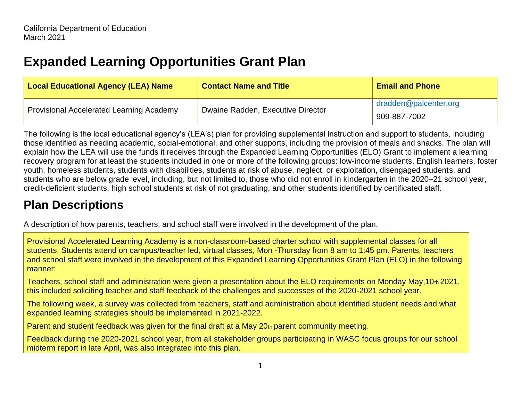# **Expanded Learning Opportunities Grant Plan**

| <b>Local Educational Agency (LEA) Name</b>      | <b>Contact Name and Title</b>     | <b>Email and Phone</b> |
|-------------------------------------------------|-----------------------------------|------------------------|
| <b>Provisional Accelerated Learning Academy</b> | Dwaine Radden, Executive Director | dradden@palcenter.org  |
|                                                 |                                   | 909-887-7002           |

The following is the local educational agency's (LEA's) plan for providing supplemental instruction and support to students, including those identified as needing academic, social-emotional, and other supports, including the provision of meals and snacks. The plan will explain how the LEA will use the funds it receives through the Expanded Learning Opportunities (ELO) Grant to implement a learning recovery program for at least the students included in one or more of the following groups: low-income students, English learners, foster youth, homeless students, students with disabilities, students at risk of abuse, neglect, or exploitation, disengaged students, and students who are below grade level, including, but not limited to, those who did not enroll in kindergarten in the 2020–21 school year, credit-deficient students, high school students at risk of not graduating, and other students identified by certificated staff.

## **Plan Descriptions**

A description of how parents, teachers, and school staff were involved in the development of the plan.

Provisional Accelerated Learning Academy is a non-classroom-based charter school with supplemental classes for all students. Students attend on campus/teacher led, virtual classes, Mon -Thursday from 8 am to 1:45 pm. Parents, teachers and school staff were involved in the development of this Expanded Learning Opportunities Grant Plan (ELO) in the following manner:

Teachers, school staff and administration were given a presentation about the ELO requirements on Monday May,10th 2021, this included soliciting teacher and staff feedback of the challenges and successes of the 2020-2021 school year.

The following week, a survey was collected from teachers, staff and administration about identified student needs and what expanded learning strategies should be implemented in 2021-2022.

Parent and student feedback was given for the final draft at a May 20th parent community meeting.

Feedback during the 2020-2021 school year, from all stakeholder groups participating in WASC focus groups for our school midterm report in late April, was also integrated into this plan.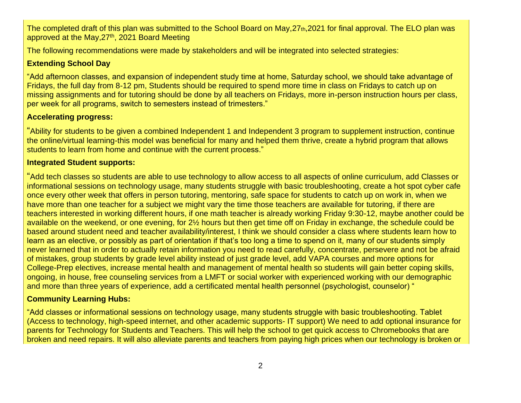The completed draft of this plan was submitted to the School Board on May,27th,2021 for final approval. The ELO plan was approved at the May,27<sup>th</sup>, 2021 Board Meeting

The following recommendations were made by stakeholders and will be integrated into selected strategies:

### **Extending School Day**

"Add afternoon classes, and expansion of independent study time at home, Saturday school, we should take advantage of Fridays, the full day from 8-12 pm, Students should be required to spend more time in class on Fridays to catch up on missing assignments and for tutoring should be done by all teachers on Fridays, more in-person instruction hours per class, per week for all programs, switch to semesters instead of trimesters."

### **Accelerating progress:**

"Ability for students to be given a combined Independent 1 and Independent 3 program to supplement instruction, continue the online/virtual learning-this model was beneficial for many and helped them thrive, create a hybrid program that allows students to learn from home and continue with the current process."

### **Integrated Student supports:**

"Add tech classes so students are able to use technology to allow access to all aspects of online curriculum, add Classes or informational sessions on technology usage, many students struggle with basic troubleshooting, create a hot spot cyber cafe once every other week that offers in person tutoring, mentoring, safe space for students to catch up on work in, when we have more than one teacher for a subject we might vary the time those teachers are available for tutoring, if there are teachers interested in working different hours, if one math teacher is already working Friday 9:30-12, maybe another could be available on the weekend, or one evening, for 2½ hours but then get time off on Friday in exchange, the schedule could be based around student need and teacher availability/interest, I think we should consider a class where students learn how to learn as an elective, or possibly as part of orientation if that's too long a time to spend on it, many of our students simply never learned that in order to actually retain information you need to read carefully, concentrate, persevere and not be afraid of mistakes, group students by grade level ability instead of just grade level, add VAPA courses and more options for College-Prep electives, increase mental health and management of mental health so students will gain better coping skills, ongoing, in house, free counseling services from a LMFT or social worker with experienced working with our demographic and more than three years of experience, add a certificated mental health personnel (psychologist, counselor) "

### **Community Learning Hubs:**

"Add classes or informational sessions on technology usage, many students struggle with basic troubleshooting. Tablet (Access to technology, high-speed internet, and other academic supports- IT support) We need to add optional insurance for parents for Technology for Students and Teachers. This will help the school to get quick access to Chromebooks that are broken and need repairs. It will also alleviate parents and teachers from paying high prices when our technology is broken or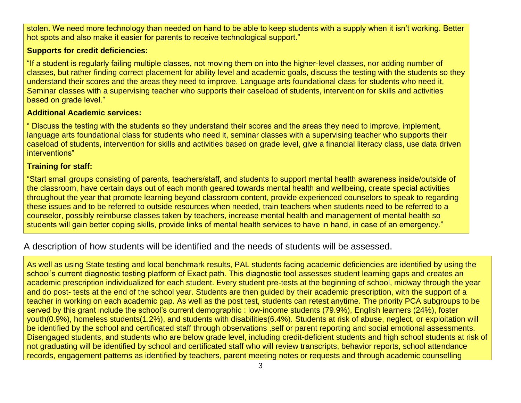stolen. We need more technology than needed on hand to be able to keep students with a supply when it isn't working. Better hot spots and also make it easier for parents to receive technological support."

### **Supports for credit deficiencies:**

"If a student is regularly failing multiple classes, not moving them on into the higher-level classes, nor adding number of classes, but rather finding correct placement for ability level and academic goals, discuss the testing with the students so they understand their scores and the areas they need to improve. Language arts foundational class for students who need it, Seminar classes with a supervising teacher who supports their caseload of students, intervention for skills and activities based on grade level."

### **Additional Academic services:**

" Discuss the testing with the students so they understand their scores and the areas they need to improve, implement, language arts foundational class for students who need it, seminar classes with a supervising teacher who supports their caseload of students, intervention for skills and activities based on grade level, give a financial literacy class, use data driven interventions"

### **Training for staff:**

"Start small groups consisting of parents, teachers/staff, and students to support mental health awareness inside/outside of the classroom, have certain days out of each month geared towards mental health and wellbeing, create special activities throughout the year that promote learning beyond classroom content, provide experienced counselors to speak to regarding these issues and to be referred to outside resources when needed, train teachers when students need to be referred to a counselor, possibly reimburse classes taken by teachers, increase mental health and management of mental health so students will gain better coping skills, provide links of mental health services to have in hand, in case of an emergency."

### A description of how students will be identified and the needs of students will be assessed.

As well as using State testing and local benchmark results, PAL students facing academic deficiencies are identified by using the school's current diagnostic testing platform of Exact path. This diagnostic tool assesses student learning gaps and creates an academic prescription individualized for each student. Every student pre-tests at the beginning of school, midway through the year and do post- tests at the end of the school year. Students are then guided by their academic prescription, with the support of a teacher in working on each academic gap. As well as the post test, students can retest anytime. The priority PCA subgroups to be served by this grant include the school's current demographic : low-income students (79.9%), English learners (24%), foster youth(0.9%), homeless students(1.2%), and students with disabilities(6.4%). Students at risk of abuse, neglect, or exploitation will be identified by the school and certificated staff through observations ,self or parent reporting and social emotional assessments. Disengaged students, and students who are below grade level, including credit-deficient students and high school students at risk of not graduating will be identified by school and certificated staff who will review transcripts, behavior reports, school attendance records, engagement patterns as identified by teachers, parent meeting notes or requests and through academic counselling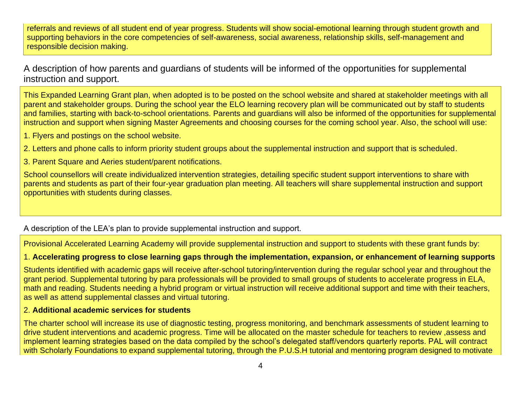referrals and reviews of all student end of year progress. Students will show social-emotional learning through student growth and supporting behaviors in the core competencies of self-awareness, social awareness, relationship skills, self-management and responsible decision making.

A description of how parents and guardians of students will be informed of the opportunities for supplemental instruction and support.

This Expanded Learning Grant plan, when adopted is to be posted on the school website and shared at stakeholder meetings with all parent and stakeholder groups. During the school year the ELO learning recovery plan will be communicated out by staff to students and families, starting with back-to-school orientations. Parents and guardians will also be informed of the opportunities for supplemental instruction and support when signing Master Agreements and choosing courses for the coming school year. Also, the school will use:

1. Flyers and postings on the school website.

2. Letters and phone calls to inform priority student groups about the supplemental instruction and support that is scheduled.

3. Parent Square and Aeries student/parent notifications.

School counsellors will create individualized intervention strategies, detailing specific student support interventions to share with parents and students as part of their four-year graduation plan meeting. All teachers will share supplemental instruction and support opportunities with students during classes.

A description of the LEA's plan to provide supplemental instruction and support.

Provisional Accelerated Learning Academy will provide supplemental instruction and support to students with these grant funds by:

### 1. **Accelerating progress to close learning gaps through the implementation, expansion, or enhancement of learning supports**

Students identified with academic gaps will receive after-school tutoring/intervention during the regular school year and throughout the grant period. Supplemental tutoring by para professionals will be provided to small groups of students to accelerate progress in ELA, math and reading. Students needing a hybrid program or virtual instruction will receive additional support and time with their teachers, as well as attend supplemental classes and virtual tutoring.

### 2. **Additional academic services for students**

The charter school will increase its use of diagnostic testing, progress monitoring, and benchmark assessments of student learning to drive student interventions and academic progress. Time will be allocated on the master schedule for teachers to review ,assess and implement learning strategies based on the data compiled by the school's delegated staff/vendors quarterly reports. PAL will contract with Scholarly Foundations to expand supplemental tutoring, through the P.U.S.H tutorial and mentoring program designed to motivate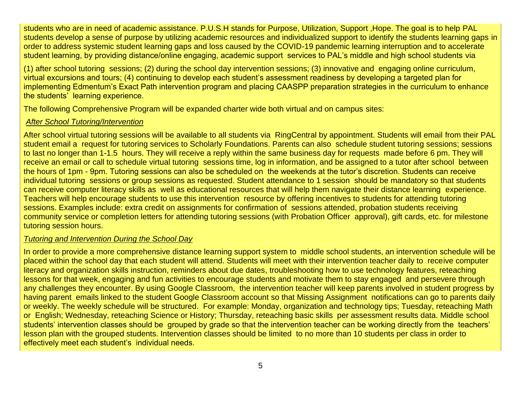students who are in need of academic assistance. P.U.S.H stands for Purpose, Utilization, Support ,Hope. The goal is to help PAL students develop a sense of purpose by utilizing academic resources and individualized support to identify the students learning gaps in order to address systemic student learning gaps and loss caused by the COVID-19 pandemic learning interruption and to accelerate student learning, by providing distance/online engaging, academic support services to PAL's middle and high school students via

(1) after school tutoring sessions; (2) during the school day intervention sessions; (3) innovative and engaging online curriculum, virtual excursions and tours; (4) continuing to develop each student's assessment readiness by developing a targeted plan for implementing Edmentum's Exact Path intervention program and placing CAASPP preparation strategies in the curriculum to enhance the students' learning experience.

The following Comprehensive Program will be expanded charter wide both virtual and on campus sites:

#### *After School Tutoring/Intervention*

After school virtual tutoring sessions will be available to all students via RingCentral by appointment. Students will email from their PAL student email a request for tutoring services to Scholarly Foundations. Parents can also schedule student tutoring sessions; sessions to last no longer than 1-1.5 hours. They will receive a reply within the same business day for requests made before 6 pm. They will receive an email or call to schedule virtual tutoring sessions time, log in information, and be assigned to a tutor after school between the hours of 1pm - 9pm. Tutoring sessions can also be scheduled on the weekends at the tutor's discretion. Students can receive individual tutoring sessions or group sessions as requested. Student attendance to 1 session should be mandatory so that students can receive computer literacy skills as well as educational resources that will help them navigate their distance learning experience. Teachers will help encourage students to use this intervention resource by offering incentives to students for attending tutoring sessions. Examples include: extra credit on assignments for confirmation of sessions attended, probation students receiving community service or completion letters for attending tutoring sessions (with Probation Officer approval), gift cards, etc. for milestone tutoring session hours.

#### *Tutoring and Intervention During the School Day*

In order to provide a more comprehensive distance learning support system to middle school students, an intervention schedule will be placed within the school day that each student will attend. Students will meet with their intervention teacher daily to receive computer literacy and organization skills instruction, reminders about due dates, troubleshooting how to use technology features, reteaching lessons for that week, engaging and fun activities to encourage students and motivate them to stay engaged and persevere through any challenges they encounter. By using Google Classroom, the intervention teacher will keep parents involved in student progress by having parent emails linked to the student Google Classroom account so that Missing Assignment notifications can go to parents daily or weekly. The weekly schedule will be structured. For example: Monday, organization and technology tips; Tuesday, reteaching Math or English; Wednesday, reteaching Science or History; Thursday, reteaching basic skills per assessment results data. Middle school students' intervention classes should be grouped by grade so that the intervention teacher can be working directly from the teachers' lesson plan with the grouped students. Intervention classes should be limited to no more than 10 students per class in order to effectively meet each student's individual needs.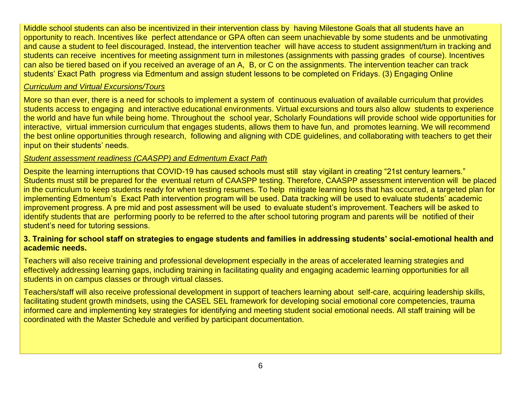Middle school students can also be incentivized in their intervention class by having Milestone Goals that all students have an opportunity to reach. Incentives like perfect attendance or GPA often can seem unachievable by some students and be unmotivating and cause a student to feel discouraged. Instead, the intervention teacher will have access to student assignment/turn in tracking and students can receive incentives for meeting assignment turn in milestones (assignments with passing grades of course). Incentives can also be tiered based on if you received an average of an A, B, or C on the assignments. The intervention teacher can track students' Exact Path progress via Edmentum and assign student lessons to be completed on Fridays. (3) Engaging Online

#### *Curriculum and Virtual Excursions/Tours*

More so than ever, there is a need for schools to implement a system of continuous evaluation of available curriculum that provides students access to engaging and interactive educational environments. Virtual excursions and tours also allow students to experience the world and have fun while being home. Throughout the school year, Scholarly Foundations will provide school wide opportunities for interactive, virtual immersion curriculum that engages students, allows them to have fun, and promotes learning. We will recommend the best online opportunities through research, following and aligning with CDE guidelines, and collaborating with teachers to get their input on their students' needs.

#### *Student assessment readiness (CAASPP) and Edmentum Exact Path*

Despite the learning interruptions that COVID-19 has caused schools must still stay vigilant in creating "21st century learners." Students must still be prepared for the eventual return of CAASPP testing. Therefore, CAASPP assessment intervention will be placed in the curriculum to keep students ready for when testing resumes. To help mitigate learning loss that has occurred, a targeted plan for implementing Edmentum's Exact Path intervention program will be used. Data tracking will be used to evaluate students' academic improvement progress. A pre mid and post assessment will be used to evaluate student's improvement. Teachers will be asked to identify students that are performing poorly to be referred to the after school tutoring program and parents will be notified of their student's need for tutoring sessions.

#### **3. Training for school staff on strategies to engage students and families in addressing students' social-emotional health and academic needs.**

Teachers will also receive training and professional development especially in the areas of accelerated learning strategies and effectively addressing learning gaps, including training in facilitating quality and engaging academic learning opportunities for all students in on campus classes or through virtual classes.

Teachers/staff will also receive professional development in support of teachers learning about self-care, acquiring leadership skills, facilitating student growth mindsets, using the CASEL SEL framework for developing social emotional core competencies, trauma informed care and implementing key strategies for identifying and meeting student social emotional needs. All staff training will be coordinated with the Master Schedule and verified by participant documentation.